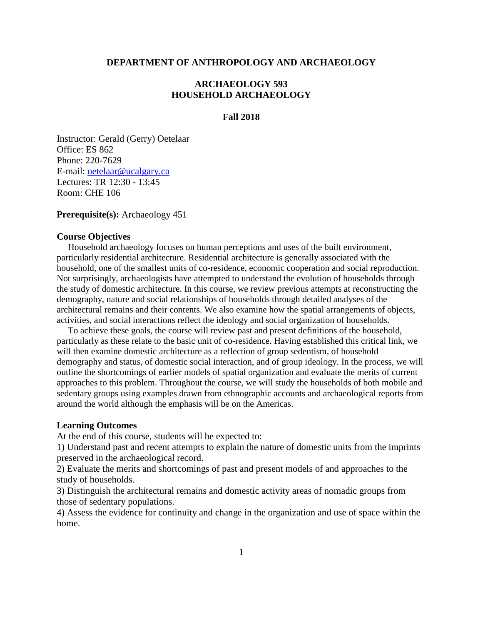## **DEPARTMENT OF ANTHROPOLOGY AND ARCHAEOLOGY**

# **ARCHAEOLOGY 593 HOUSEHOLD ARCHAEOLOGY**

## **Fall 2018**

Instructor: Gerald (Gerry) Oetelaar Office: ES 862 Phone: 220-7629 E-mail: oetelaar@ucalgary.ca Lectures: TR 12:30 - 13:45 Room: CHE 106

**Prerequisite(s):** Archaeology 451

### **Course Objectives**

Household archaeology focuses on human perceptions and uses of the built environment, particularly residential architecture. Residential architecture is generally associated with the household, one of the smallest units of co-residence, economic cooperation and social reproduction. Not surprisingly, archaeologists have attempted to understand the evolution of households through the study of domestic architecture. In this course, we review previous attempts at reconstructing the demography, nature and social relationships of households through detailed analyses of the architectural remains and their contents. We also examine how the spatial arrangements of objects, activities, and social interactions reflect the ideology and social organization of households.

To achieve these goals, the course will review past and present definitions of the household, particularly as these relate to the basic unit of co-residence. Having established this critical link, we will then examine domestic architecture as a reflection of group sedentism, of household demography and status, of domestic social interaction, and of group ideology. In the process, we will outline the shortcomings of earlier models of spatial organization and evaluate the merits of current approaches to this problem. Throughout the course, we will study the households of both mobile and sedentary groups using examples drawn from ethnographic accounts and archaeological reports from around the world although the emphasis will be on the Americas.

## **Learning Outcomes**

At the end of this course, students will be expected to:

1) Understand past and recent attempts to explain the nature of domestic units from the imprints preserved in the archaeological record.

2) Evaluate the merits and shortcomings of past and present models of and approaches to the study of households.

3) Distinguish the architectural remains and domestic activity areas of nomadic groups from those of sedentary populations.

4) Assess the evidence for continuity and change in the organization and use of space within the home.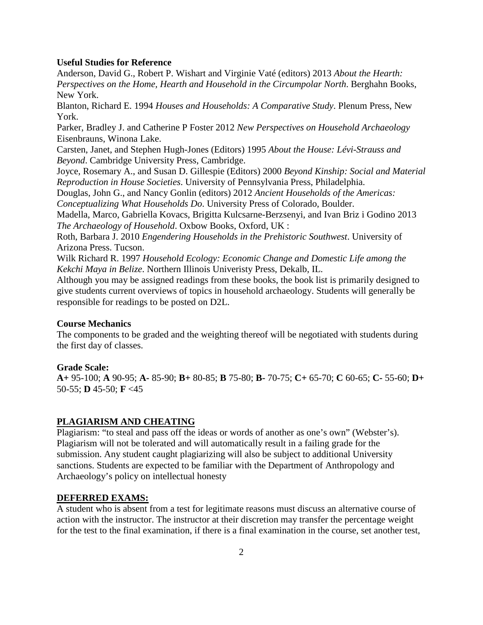## **Useful Studies for Reference**

Anderson, David G., Robert P. Wishart and Virginie Vaté (editors) 2013 *About the Hearth: Perspectives on the Home, Hearth and Household in the Circumpolar North*. Berghahn Books, New York.

Blanton, Richard E. 1994 *Houses and Households: A Comparative Study*. Plenum Press, New York.

Parker, Bradley J. and Catherine P Foster 2012 *New Perspectives on Household Archaeology* Eisenbrauns, Winona Lake.

Carsten, Janet, and Stephen Hugh-Jones (Editors) 1995 *About the House: Lévi-Strauss and Beyond*. Cambridge University Press, Cambridge.

Joyce, Rosemary A., and Susan D. Gillespie (Editors) 2000 *Beyond Kinship: Social and Material Reproduction in House Societies*. University of Pennsylvania Press, Philadelphia.

Douglas, John G., and Nancy Gonlin (editors) 2012 *Ancient Households of the Americas: Conceptualizing What Households Do*. University Press of Colorado, Boulder.

Madella, Marco, Gabriella Kovacs, Brigitta Kulcsarne-Berzsenyi, and Ivan Briz i Godino 2013 *The Archaeology of Household*. Oxbow Books, Oxford, UK :

Roth, Barbara J. 2010 *Engendering Households in the Prehistoric Southwest*. University of Arizona Press. Tucson.

Wilk Richard R. 1997 *Household Ecology: Economic Change and Domestic Life among the Kekchi Maya in Belize*. Northern Illinois Univeristy Press, Dekalb, IL.

Although you may be assigned readings from these books, the book list is primarily designed to give students current overviews of topics in household archaeology. Students will generally be responsible for readings to be posted on D2L.

## **Course Mechanics**

The components to be graded and the weighting thereof will be negotiated with students during the first day of classes.

#### **Grade Scale:**

**A+** 95-100; **A** 90-95; **A-** 85-90; **B+** 80-85; **B** 75-80; **B-** 70-75; **C+** 65-70; **C** 60-65; **C-** 55-60; **D+** 50-55; **D** 45-50; **F** <45

### **PLAGIARISM AND CHEATING**

Plagiarism: "to steal and pass off the ideas or words of another as one's own" (Webster's). Plagiarism will not be tolerated and will automatically result in a failing grade for the submission. Any student caught plagiarizing will also be subject to additional University sanctions. Students are expected to be familiar with the Department of Anthropology and Archaeology's policy on intellectual honesty

#### **DEFERRED EXAMS:**

A student who is absent from a test for legitimate reasons must discuss an alternative course of action with the instructor. The instructor at their discretion may transfer the percentage weight for the test to the final examination, if there is a final examination in the course, set another test,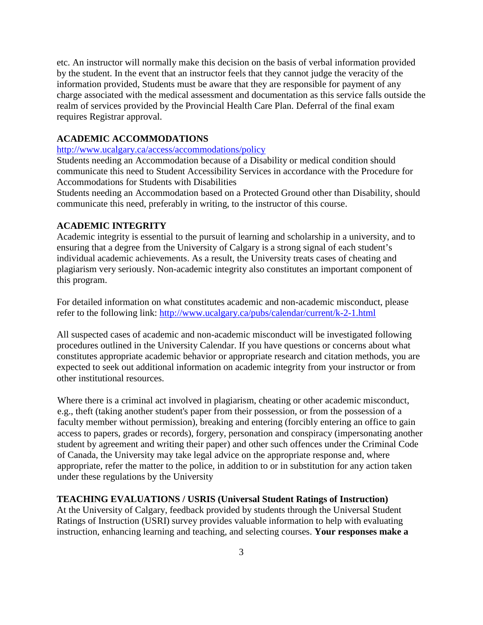etc. An instructor will normally make this decision on the basis of verbal information provided by the student. In the event that an instructor feels that they cannot judge the veracity of the information provided, Students must be aware that they are responsible for payment of any charge associated with the medical assessment and documentation as this service falls outside the realm of services provided by the Provincial Health Care Plan. Deferral of the final exam requires Registrar approval.

## **ACADEMIC ACCOMMODATIONS**

<http://www.ucalgary.ca/access/accommodations/policy>

Students needing an Accommodation because of a Disability or medical condition should communicate this need to Student Accessibility Services in accordance with the Procedure for Accommodations for Students with Disabilities

Students needing an Accommodation based on a Protected Ground other than Disability, should communicate this need, preferably in writing, to the instructor of this course.

## **ACADEMIC INTEGRITY**

Academic integrity is essential to the pursuit of learning and scholarship in a university, and to ensuring that a degree from the University of Calgary is a strong signal of each student's individual academic achievements. As a result, the University treats cases of cheating and plagiarism very seriously. Non-academic integrity also constitutes an important component of this program.

For detailed information on what constitutes academic and non-academic misconduct, please refer to the following link:<http://www.ucalgary.ca/pubs/calendar/current/k-2-1.html>

All suspected cases of academic and non-academic misconduct will be investigated following procedures outlined in the University Calendar. If you have questions or concerns about what constitutes appropriate academic behavior or appropriate research and citation methods, you are expected to seek out additional information on academic integrity from your instructor or from other institutional resources.

Where there is a criminal act involved in plagiarism, cheating or other academic misconduct, e.g., theft (taking another student's paper from their possession, or from the possession of a faculty member without permission), breaking and entering (forcibly entering an office to gain access to papers, grades or records), forgery, personation and conspiracy (impersonating another student by agreement and writing their paper) and other such offences under the Criminal Code of Canada, the University may take legal advice on the appropriate response and, where appropriate, refer the matter to the police, in addition to or in substitution for any action taken under these regulations by the University

## **TEACHING EVALUATIONS / USRIS (Universal Student Ratings of Instruction)**

At the University of Calgary, feedback provided by students through the Universal Student Ratings of Instruction (USRI) survey provides valuable information to help with evaluating instruction, enhancing learning and teaching, and selecting courses. **Your responses make a**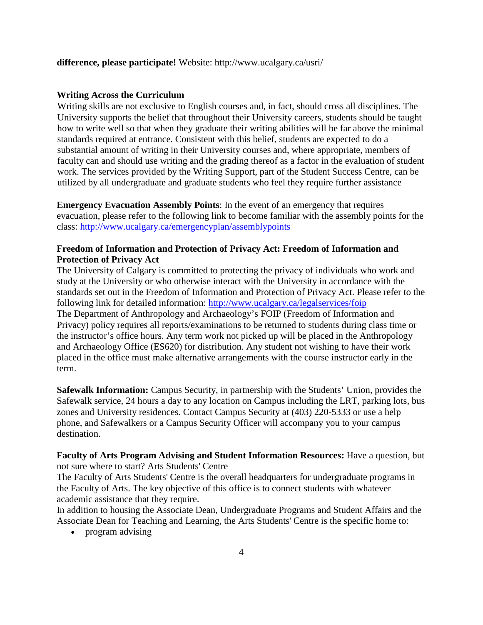# **difference, please participate!** Website: http://www.ucalgary.ca/usri/

#### **Writing Across the Curriculum**

Writing skills are not exclusive to English courses and, in fact, should cross all disciplines. The University supports the belief that throughout their University careers, students should be taught how to write well so that when they graduate their writing abilities will be far above the minimal standards required at entrance. Consistent with this belief, students are expected to do a substantial amount of writing in their University courses and, where appropriate, members of faculty can and should use writing and the grading thereof as a factor in the evaluation of student work. The services provided by the Writing Support, part of the Student Success Centre, can be utilized by all undergraduate and graduate students who feel they require further assistance

**Emergency Evacuation Assembly Points**: In the event of an emergency that requires evacuation, please refer to the following link to become familiar with the assembly points for the class:<http://www.ucalgary.ca/emergencyplan/assemblypoints>

# **Freedom of Information and Protection of Privacy Act: Freedom of Information and Protection of Privacy Act**

The University of Calgary is committed to protecting the privacy of individuals who work and study at the University or who otherwise interact with the University in accordance with the standards set out in the Freedom of Information and Protection of Privacy Act. Please refer to the following link for detailed information:<http://www.ucalgary.ca/legalservices/foip> The Department of Anthropology and Archaeology's FOIP (Freedom of Information and Privacy) policy requires all reports/examinations to be returned to students during class time or the instructor's office hours. Any term work not picked up will be placed in the Anthropology and Archaeology Office (ES620) for distribution. Any student not wishing to have their work placed in the office must make alternative arrangements with the course instructor early in the term.

**Safewalk Information:** Campus Security, in partnership with the Students' Union, provides the Safewalk service, 24 hours a day to any location on Campus including the LRT, parking lots, bus zones and University residences. Contact Campus Security at (403) 220-5333 or use a help phone, and Safewalkers or a Campus Security Officer will accompany you to your campus destination.

# **Faculty of Arts Program Advising and Student Information Resources:** Have a question, but not sure where to start? Arts Students' Centre

The Faculty of Arts Students' Centre is the overall headquarters for undergraduate programs in the Faculty of Arts. The key objective of this office is to connect students with whatever academic assistance that they require.

In addition to housing the Associate Dean, Undergraduate Programs and Student Affairs and the Associate Dean for Teaching and Learning, the Arts Students' Centre is the specific home to:

• program advising